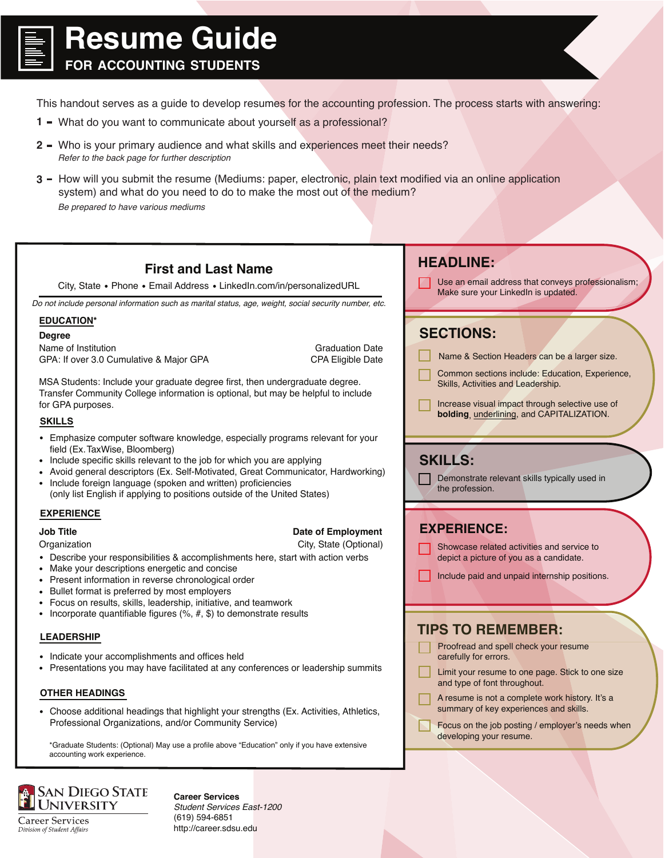

## **Resume Guide**

**FOR ACCOUNTING STUDENTS**

This handout serves as a guide to develop resumes for the accounting profession. The process starts with answering:

- **1 -** What do you want to communicate about yourself as a professional?
- **2 –** Who is your primary audience and what skills and experiences meet their needs? *Refer to the back page for further description*
- **3 -** How will you submit the resume (Mediums: paper, electronic, plain text modified via an online application system) and what do you need to do to make the most out of the medium? *Be prepared to have various mediums*

#### Use an email address that conveys professionalism; Make sure your LinkedIn is updated. **HEADLINE:** Name & Section Headers can be a larger size. **First and Last Name** City, State • Phone • Email Address • LinkedIn.com/in/personalizedURL **EDUCATION\* Job Title Date of Employment** Organization City, State (Optional) **Degree** Graduation Date CPA Eligible Date Name of Institution GPA: If over 3.0 Cumulative & Major GPA MSA Students: Include your graduate degree first, then undergraduate degree. Transfer Community College information is optional, but may be helpful to include for GPA purposes. Describe your responsibilities & accomplishments here, start with action verbs Make your descriptions energetic and concise • Present information in reverse chronological order • Bullet format is preferred by most employers Focus on results, skills, leadership, initiative, and teamwork • Incorporate quantifiable figures  $(%, #, $)$  to demonstrate results Emphasize computer software knowledge, especially programs relevant for your field (Ex.TaxWise, Bloomberg) • Include specific skills relevant to the job for which you are applying Avoid general descriptors (Ex. Self-Motivated, Great Communicator, Hardworking) • Include foreign language (spoken and written) proficiencies (only list English if applying to positions outside of the United States) **SKILLS EXPERIENCE** *Do not include personal information such as marital status, age, weight, social security number, etc.* Common sections include: Education, Experience, Skills, Activities and Leadership. Increase visual impact through selective use of **bolding**, underlining, and CAPITALIZATION. **SECTIONS:** Showcase related activities and service to depict a picture of you as a candidate. Include paid and unpaid internship positions. **EXPERIENCE:** Demonstrate relevant skills typically used in the profession. **SKILLS:**

#### **LEADERSHIP**

- Indicate your accomplishments and offices held
- Presentations you may have facilitated at any conferences or leadership summits

### **OTHER HEADINGS**

Choose additional headings that highlight your strengths (Ex. Activities, Athletics, Professional Organizations, and/or Community Service)

\*Graduate Students: (Optional) May use a profile above "Education" only if you have extensive accounting work experience.



**Career Services** Division of Student Affairs **Career Services** *Student Services East-1200* (619) 594-6851 http://career.sdsu.edu

### **TIPS TO REMEMBER:**

- Proofread and spell check your resume carefully for errors.
- Limit your resume to one page. Stick to one size and type of font throughout.
- A resume is not a complete work history. It's a summary of key experiences and skills.
- Focus on the job posting / employer's needs when developing your resume.